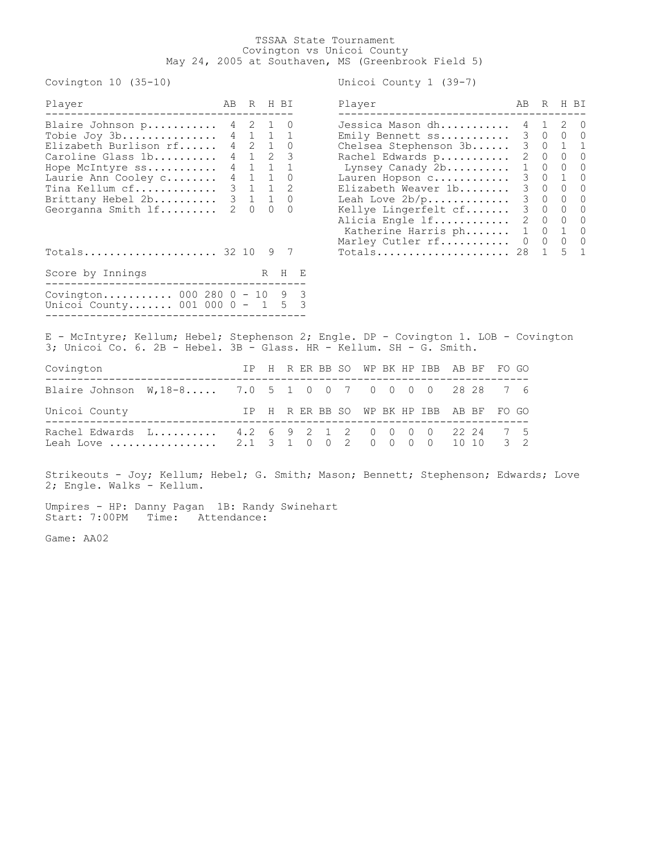## TSSAA State Tournament Covington vs Unicoi County May 24, 2005 at Southaven, MS (Greenbrook Field 5)

Covington 10 (35-10) Unicoi County 1 (39-7)

| Player                                                                                                                                                                                                   | AB                                                                                        |                                                                                       | R H BI                                                                                                                          |                                                                                              |                                                                |              |                          | Player                    |                     |                      |                                                                                                                                                                                                                                                                        |       |                |        | AВ                                                                                                                                                                              | R                                                                                                                                                               |                                                                                                                                                                    | H BI                                                                                                                                                                      |
|----------------------------------------------------------------------------------------------------------------------------------------------------------------------------------------------------------|-------------------------------------------------------------------------------------------|---------------------------------------------------------------------------------------|---------------------------------------------------------------------------------------------------------------------------------|----------------------------------------------------------------------------------------------|----------------------------------------------------------------|--------------|--------------------------|---------------------------|---------------------|----------------------|------------------------------------------------------------------------------------------------------------------------------------------------------------------------------------------------------------------------------------------------------------------------|-------|----------------|--------|---------------------------------------------------------------------------------------------------------------------------------------------------------------------------------|-----------------------------------------------------------------------------------------------------------------------------------------------------------------|--------------------------------------------------------------------------------------------------------------------------------------------------------------------|---------------------------------------------------------------------------------------------------------------------------------------------------------------------------|
| Blaire Johnson p<br>Tobie Joy 3b<br>Elizabeth Burlison rf<br>Caroline Glass 1b<br>Hope McIntyre ss<br>Laurie Ann Cooley c<br>Tina Kellum cf<br>Brittany Hebel 2b<br>Georganna Smith If<br>$Totals$ 32 10 | 4<br>$4\overline{ }$<br>$4\overline{ }$<br>$4\phantom{0}$<br>$3\quad 1$<br>$\overline{2}$ | 2<br>$4 \quad 1$<br>2<br>$\mathbf{1}$<br>1<br>$4 \quad 1$<br>3 <sub>1</sub><br>$\cap$ | $\mathbf{1}$<br>$\mathbf{1}$<br>$\overline{2}$<br>$\mathbf{1}$<br>$\mathbf{1}$<br>$\mathbf{1}$<br>$\mathbf{1}$<br>$\Omega$<br>9 | $\Omega$<br>1<br>$\Omega$<br>3<br>$\mathbf{1}$<br>$\Omega$<br>2<br>$\Omega$<br>$\Omega$<br>7 |                                                                |              |                          |                           |                     |                      | Jessica Mason dh<br>Emily Bennett ss<br>Chelsea Stephenson 3b<br>Rachel Edwards p<br>Lynsey Canady 2b<br>Lauren Hopson c<br>Elizabeth Weaver 1b<br>Leah Love $2b/p$<br>Kellye Lingerfelt cf<br>Alicia Engle 1f<br>Katherine Harris ph<br>Marley Cutler rf<br>Totals 28 |       |                |        | 4<br>3<br>3 <sup>7</sup><br>$\overline{c}$<br>$1\,$<br>$\mathfrak{Z}$<br>$\mathfrak{Z}$<br>$\mathfrak{Z}$<br>$\mathfrak{Z}$<br>$\overline{2}$<br>$\mathbf{1}$<br>$\overline{0}$ | $\mathbf{1}$<br>$\circ$<br>$\circ$<br>$\Omega$<br>$\mathbf{0}$<br>$\circ$<br>$\circ$<br>$\circ$<br>$\Omega$<br>$\Omega$<br>$\Omega$<br>$\Omega$<br>$\mathbf{1}$ | 2<br>$\Omega$<br>$\mathbf{1}$<br>$\Omega$<br>$\Omega$<br>$\mathbf 1$<br>$\Omega$<br>$\Omega$<br>$\Omega$<br>$\Omega$<br>$\mathbf{1}$<br>$\Omega$<br>$\overline{a}$ | $\overline{0}$<br>$\bigcirc$<br>1<br>$\Omega$<br>$\bigcirc$<br>$\circ$<br>$\overline{0}$<br>$\circ$<br>$\Omega$<br>$\overline{0}$<br>$\Omega$<br>$\Omega$<br>$\mathbf{1}$ |
| Score by Innings                                                                                                                                                                                         |                                                                                           |                                                                                       |                                                                                                                                 | R H E                                                                                        |                                                                |              |                          |                           |                     |                      |                                                                                                                                                                                                                                                                        |       |                |        |                                                                                                                                                                                 |                                                                                                                                                                 |                                                                                                                                                                    |                                                                                                                                                                           |
| .______________________________<br>Covington 000 280 0 - 10 9 3<br>Unicoi County 001 000 0 - 1<br>E - McIntyre; Kellum; Hebel; Stephenson 2; Engle. DP - Covington 1. LOB - Covington                    |                                                                                           |                                                                                       |                                                                                                                                 | $5 -$                                                                                        | $\overline{\mathbf{3}}$                                        |              |                          |                           |                     |                      |                                                                                                                                                                                                                                                                        |       |                |        |                                                                                                                                                                                 |                                                                                                                                                                 |                                                                                                                                                                    |                                                                                                                                                                           |
| 3; Unicoi Co. 6. 2B - Hebel. 3B - Glass. HR - Kellum. SH - G. Smith.                                                                                                                                     |                                                                                           |                                                                                       |                                                                                                                                 |                                                                                              |                                                                |              |                          |                           |                     |                      |                                                                                                                                                                                                                                                                        |       |                |        |                                                                                                                                                                                 |                                                                                                                                                                 |                                                                                                                                                                    |                                                                                                                                                                           |
| Covington                                                                                                                                                                                                |                                                                                           | IP                                                                                    |                                                                                                                                 |                                                                                              |                                                                | H R ER BB SO |                          |                           |                     |                      | WP BK HP IBB                                                                                                                                                                                                                                                           | AB BF |                | FO GO  |                                                                                                                                                                                 |                                                                                                                                                                 |                                                                                                                                                                    |                                                                                                                                                                           |
| Blaire Johnson $W, 18-8$ 7.0 5                                                                                                                                                                           |                                                                                           |                                                                                       |                                                                                                                                 |                                                                                              | $1 \quad 0$                                                    | $\circ$      | $\overline{7}$           |                           |                     | $0\quad 0\quad 0$    | $\overline{0}$                                                                                                                                                                                                                                                         |       | 28 28          | 7      | 6                                                                                                                                                                               |                                                                                                                                                                 |                                                                                                                                                                    |                                                                                                                                                                           |
| Unicoi County<br>--------------------------                                                                                                                                                              |                                                                                           | IP                                                                                    | H                                                                                                                               |                                                                                              |                                                                | R ER BB SO   |                          |                           |                     |                      | WP BK HP IBB                                                                                                                                                                                                                                                           | AB BF |                | FO GO  |                                                                                                                                                                                 |                                                                                                                                                                 |                                                                                                                                                                    |                                                                                                                                                                           |
| Rachel Edwards L 4.2 6<br>Leah Love                                                                                                                                                                      |                                                                                           | 2.1                                                                                   | $\mathcal{E}$                                                                                                                   |                                                                                              | $2^{\circ}$<br>$\begin{array}{ccc} 9 & 2 \\ 1 & 0 \end{array}$ |              | $1\quad 2$<br>$0\quad 2$ | $\mathbf{0}$<br>$\bigcap$ | $\circ$<br>$\Omega$ | $\circ$<br>$\bigcap$ | $\Omega$<br>$\bigcap$                                                                                                                                                                                                                                                  |       | 22 24<br>10 10 | 7<br>3 | 5<br>2                                                                                                                                                                          |                                                                                                                                                                 |                                                                                                                                                                    |                                                                                                                                                                           |
| Strikeouts - Joy; Kellum; Hebel; G. Smith; Mason; Bennett; Stephenson; Edwards; Love                                                                                                                     |                                                                                           |                                                                                       |                                                                                                                                 |                                                                                              |                                                                |              |                          |                           |                     |                      |                                                                                                                                                                                                                                                                        |       |                |        |                                                                                                                                                                                 |                                                                                                                                                                 |                                                                                                                                                                    |                                                                                                                                                                           |

2; Engle. Walks - Kellum.

Umpires - HP: Danny Pagan 1B: Randy Swinehart Start: 7:00PM Time: Attendance:

Game: AA02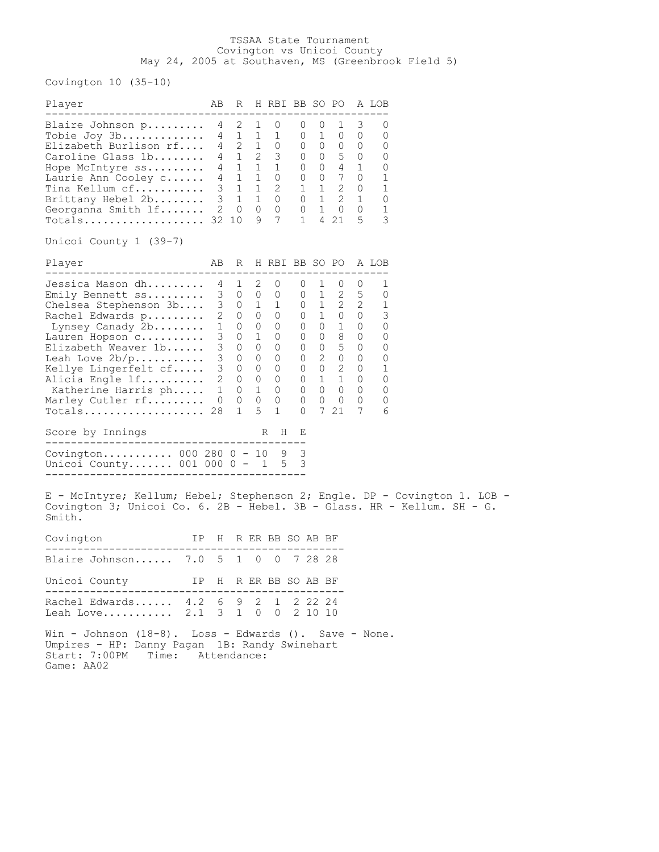## TSSAA State Tournament Covington vs Unicoi County May 24, 2005 at Southaven, MS (Greenbrook Field 5)

Covington 10 (35-10)

| Player                                                                                                                                                                                                                                                              | AВ                                                                                                                                                   | R                                                                                                                       |                                                                                  | H RBI BB SO PO A LOB                                                                         |                                                 |                                                      |                                                                                                                                                                                                                                |                                                                                            |                                                               |  |
|---------------------------------------------------------------------------------------------------------------------------------------------------------------------------------------------------------------------------------------------------------------------|------------------------------------------------------------------------------------------------------------------------------------------------------|-------------------------------------------------------------------------------------------------------------------------|----------------------------------------------------------------------------------|----------------------------------------------------------------------------------------------|-------------------------------------------------|------------------------------------------------------|--------------------------------------------------------------------------------------------------------------------------------------------------------------------------------------------------------------------------------|--------------------------------------------------------------------------------------------|---------------------------------------------------------------|--|
| Blaire Johnson p<br>Tobie Joy $3b$<br>Elizabeth Burlison rf<br>Caroline Glass 1b<br>Hope McIntyre ss<br>Laurie Ann Cooley c<br>Tina Kellum cf<br>Brittany Hebel 2b<br>Georganna Smith If<br>$Totals$ 32 10<br>Unicoi County 1 (39-7)                                | 4<br>$\overline{2}$                                                                                                                                  | 2<br>4 1<br>4 2<br>$4 \quad 1$<br>$4 \quad 1$<br>4 1<br>3 <sub>1</sub><br>3 <sub>1</sub><br>0                           | 1<br>1<br>1<br>$2^{\circ}$<br>$\mathbf 1$<br>1<br>$\overline{0}$<br>9            | 0<br>1<br>0<br>3<br>$\overline{1}$<br>0<br>$1 \quad 2$<br>$1 \quad 0$<br>0<br>$\overline{7}$ | 0<br>0<br>U<br>0<br>0<br>0<br>0<br>$\mathbf{1}$ | $\overline{0}$<br>$1 \quad 0$<br>$1 \quad 0$         | 1<br>$\begin{matrix} 0 & 0 & 0 \end{matrix}$<br>$0 5 0$<br>$0 \t 4 \t 1$<br>$0\qquad 0\qquad 7\qquad 0$<br>$1 \quad 1 \quad 2 \quad 0$<br>1 2 1<br>4 21                                                                        | 3<br>$\overline{0}$<br>$\overline{0}$<br>5                                                 | 0<br>O<br>0<br>0<br>0<br>1<br>1<br>0<br>1<br>3                |  |
| Player                                                                                                                                                                                                                                                              | AВ                                                                                                                                                   | R                                                                                                                       |                                                                                  | H RBI BB SO PO                                                                               |                                                 |                                                      |                                                                                                                                                                                                                                |                                                                                            | A LOB                                                         |  |
| Jessica Mason dh<br>Emily Bennett ss<br>Chelsea Stephenson 3b<br>Rachel Edwards p<br>Lynsey Canady 2b<br>Lauren Hopson c<br>Elizabeth Weaver 1b<br>Leah Love $2b/p$<br>Kellye Lingerfelt cf<br>Alicia Engle 1f<br>Katherine Harris ph<br>Marley Cutler rf<br>Totals | ---------------<br>$\mathbf{1}$<br>3 <sup>7</sup><br>3 <sup>7</sup><br>3 <sup>7</sup><br>3 <sup>7</sup><br>$\mathbf{2}$<br>1<br>$\overline{0}$<br>28 | 4 1 2<br>3 0 0 0<br>$3 \t 0 \t 1 \t 1$<br>$2 \quad 0 \quad 0$<br>$\overline{0}$<br>0<br>0<br>0<br>0<br>0<br>0<br>0<br>1 | $\overline{0}$<br>1<br>0<br>$\overline{0}$<br>$\overline{0}$<br>0<br>1<br>0<br>5 | $\overline{0}$<br>0<br>0<br>0<br>0<br>0<br>0<br>0<br>0<br>0<br>$\mathbf{1}$                  | U<br>0<br>0<br>$\circ$<br>0<br>0<br>$\Omega$    | 1<br>$0\quad 1$<br>1<br>$\overline{0}$<br>$0\quad 0$ | $\cup$<br>$\mathbf{2}$<br>$0 \quad 1 \quad 2 \quad 2$<br>$0$ 1 0 0<br>$0\qquad 0\qquad 1\qquad 0$<br>$0\qquad 8\qquad 0$<br>$0 \quad 5 \quad 0$<br>$0\quad 2\quad 0\quad 0$<br>$0 \t 0 \t 2$<br>$\mathbf{1}$<br>$\circ$<br>721 | U<br>$5\overline{)}$<br>$\overline{0}$<br>$\overline{0}$<br>$\overline{0}$<br>$\circ$<br>7 | 1<br>0<br>1<br>3<br>0<br>0<br>0<br>0<br>1<br>0<br>0<br>0<br>6 |  |
| Score by Innings                                                                                                                                                                                                                                                    |                                                                                                                                                      |                                                                                                                         |                                                                                  | Η<br>R                                                                                       | Е                                               |                                                      |                                                                                                                                                                                                                                |                                                                                            |                                                               |  |
| Covington 000 280 0 - 10<br>Unicoi County 001 000 0 - 1<br>E - McIntyre; Kellum; Hebel; Stephenson 2; Engle. DP - Covington 1. LOB -                                                                                                                                |                                                                                                                                                      |                                                                                                                         |                                                                                  | 9<br>5                                                                                       | 3<br>3                                          |                                                      |                                                                                                                                                                                                                                |                                                                                            |                                                               |  |
| Covington 3; Unicoi Co. 6. 2B - Hebel. 3B - Glass. HR - Kellum. SH - G.<br>Smith.                                                                                                                                                                                   |                                                                                                                                                      |                                                                                                                         |                                                                                  |                                                                                              |                                                 |                                                      |                                                                                                                                                                                                                                |                                                                                            |                                                               |  |
| IP H R ER BB SO AB BF<br>Covington<br>-------------                                                                                                                                                                                                                 |                                                                                                                                                      |                                                                                                                         |                                                                                  |                                                                                              |                                                 |                                                      |                                                                                                                                                                                                                                |                                                                                            |                                                               |  |
| Blaire Johnson 7.0                                                                                                                                                                                                                                                  | 5                                                                                                                                                    | 1                                                                                                                       | 0                                                                                | 0                                                                                            |                                                 | 7 28 28                                              |                                                                                                                                                                                                                                |                                                                                            |                                                               |  |
| Unicoi County                                                                                                                                                                                                                                                       |                                                                                                                                                      |                                                                                                                         |                                                                                  | IP H R ER BB SO AB BF                                                                        |                                                 |                                                      |                                                                                                                                                                                                                                |                                                                                            |                                                               |  |
| Rachel Edwards 4.2 6 9 2 1<br>Leah Love $2.1 \t3 \t1 \t0 \t0$                                                                                                                                                                                                       |                                                                                                                                                      |                                                                                                                         |                                                                                  |                                                                                              |                                                 | 2 2 2 2 4<br>2 10 10                                 |                                                                                                                                                                                                                                |                                                                                            |                                                               |  |
| Win - Johnson $(18-8)$ . Loss - Edwards $()$ . Save - None.<br>Umpires - HP: Danny Pagan 1B: Randy Swinehart<br>Start: 7:00PM Time: Attendance:                                                                                                                     |                                                                                                                                                      |                                                                                                                         |                                                                                  |                                                                                              |                                                 |                                                      |                                                                                                                                                                                                                                |                                                                                            |                                                               |  |

Game: AA02